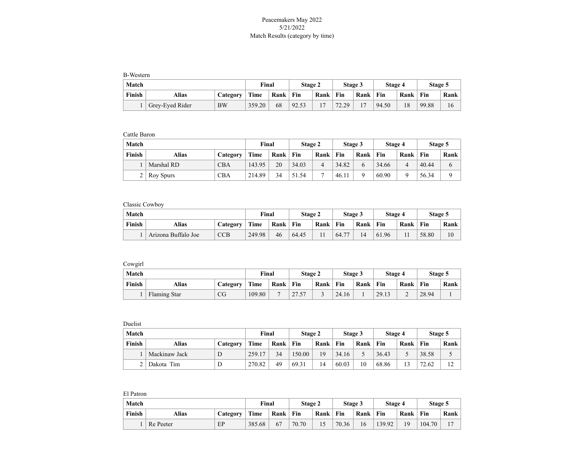## Peacemakers May 2022 5/21/2022 Match Results (category by time)

B-Western

| Match  |                 |           | Final       |      | Stage 2 |      |       | Stage 3 | <b>Stage 4</b> |      | Stage 5 |      |
|--------|-----------------|-----------|-------------|------|---------|------|-------|---------|----------------|------|---------|------|
| Finish | Alias           | Category  | <b>Time</b> | Rank | Fin     | Rank | Fin   | Rank    | Fin            | Rank | Fin     | Rank |
|        | Grey-Eyed Rider | <b>BW</b> | 359.20      | 68   | 92.53   | ר ו  | 72.29 |         | 94.50          | 18   | 99.88   | 16   |

Cattle Baron

| Match  |            |            | Final  |      | Stage 2 |      |       | Stage 3 | Stage 4 |          | Stage 5 |      |
|--------|------------|------------|--------|------|---------|------|-------|---------|---------|----------|---------|------|
| Finish | Alias      | Category   | Time   | Rank | Fin     | Rank | Fin   | Rank    | Fin     | Rank     | ` Fin   | Rank |
|        | Marshal RD | <b>CBA</b> | 143.95 | 20   | 34.03   |      | 34.82 |         | 34.66   |          | 40.44   | 6    |
|        | Roy Spurs  | <b>CBA</b> | 214.89 | 34   | 51.54   | −    | 46.1' |         | 60.90   | $\Omega$ | 56.34   |      |

Classic Cowboy

| Match  |                     |            | Final  |      | Stage 2 |      |       | Stage 3 | Stage 4 |      | Stage 5 |      |
|--------|---------------------|------------|--------|------|---------|------|-------|---------|---------|------|---------|------|
| Finish | Alias               | Category   | Time   | Rank | Fin     | Rank | Fin   | Rank    | Fin     | Rank | Fin     | Rank |
|        | Arizona Buffalo Joe | <b>CCB</b> | 249.98 | 46   | 64.45   |      | 64.77 | 14      | 61.96   |      | 58.80   | 10   |

Cowgirl

| Match  |              |          | Final  |      | Stage 2 |      |       | Stage 3 | Stage 4 |      | Stage 5 |      |
|--------|--------------|----------|--------|------|---------|------|-------|---------|---------|------|---------|------|
| Finish | Alias        | Categorv | Time   | Rank | Fin     | Rank | Fin   | Rank    | Fin     | Rank | Fin     | Rank |
|        | Flaming Star | CG       | 109.80 |      | 27.57   |      | 24.16 |         | 29.13   | ∼    | 28.94   |      |

Duelist

| Match  |               |          | Final       |      | Stage 2 |      |       | Stage 3 | <b>Stage 4</b> |      | Stage 5 |             |
|--------|---------------|----------|-------------|------|---------|------|-------|---------|----------------|------|---------|-------------|
| Finish | Alias         | Category | <b>Time</b> | Rank | Fin     | Rank | Fin   | Rank    | Fin            | Rank | Fin     | Rank        |
|        | Mackinaw Jack | D        | 259.17      | 34   | 150.00  | 19   | 34.16 |         | 36.43          |      | 38.58   | ت           |
|        | Dakota Tim    | D        | 270.82      | 49   | 69.31   | 14   | 60.03 | 10      | 68.86          | 13   | 72.62   | $1^{\circ}$ |

| El Patron |              |          |        |       |         |      |         |      |         |      |         |      |
|-----------|--------------|----------|--------|-------|---------|------|---------|------|---------|------|---------|------|
| Match     |              |          |        | Final | Stage 2 |      | Stage 3 |      | Stage 4 |      | Stage 5 |      |
| Finish    | <b>Alias</b> | Category | Time   | Rank  | Fin     | Rank | Fin     | Rank | Fin     | Rank | Fin     | Rank |
|           | Re Peeter    | EP       | 385.68 | 67    | 70.70   | 15   | 70.36   | 16   | 139.92  | 19   | 104.70  |      |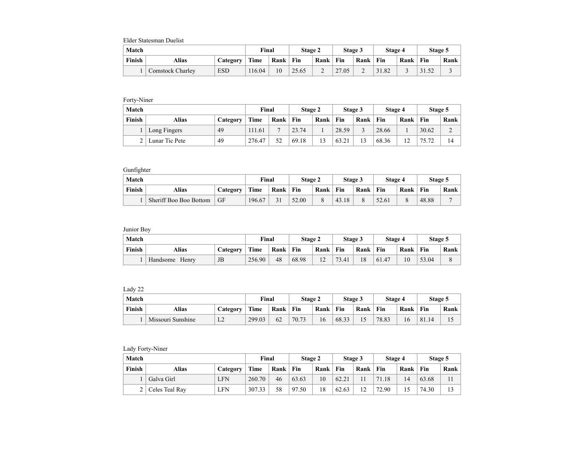Elder Statesman Duelist

| Match  |                         |            | Final  |      | Stage 2 |                               | Stage 3 |      | Stage 4 |      | Stage 5 |      |
|--------|-------------------------|------------|--------|------|---------|-------------------------------|---------|------|---------|------|---------|------|
| Finish | Alias                   | Category   | Time   | Rank | Fin     | Rank                          | Fin     | Rank | Fin     | Rank | Fin     | Rank |
|        | <b>Comstock Charley</b> | <b>ESD</b> | 116.04 | 10   | 25.65   | $\overline{\phantom{0}}$<br>∼ | 27.05   | ∼    | 31.82   |      | 31.52   |      |

Forty-Niner

| Match  |                |          | Final  |                | Stage 2 |      | Stage 3 |      | Stage 4 |                   | Stage 5 |      |
|--------|----------------|----------|--------|----------------|---------|------|---------|------|---------|-------------------|---------|------|
| Finish | Alias          | Categorv | Time   | Rank           | Fin     | Rank | Fin     | Rank | Fin     | Rank              | Fin     | Rank |
|        | Long Fingers   | 49       | 111.61 | $\overline{ }$ | 23.74   |      | 28.59   |      | 28.66   |                   | 30.62   | ∸    |
|        | Lunar Tic Pete | 49       | 276.47 | 52             | 69.18   | 13   | 63.21   | 13   | 68.36   | $\bigcirc$<br>- ⊥ | 75.72   | 14   |

## Gunfighter

| Match  |                        |          | Final  |      | Stage 2 |      |       | Stage 3 | Stage 4 |      | Stage 5 |                |
|--------|------------------------|----------|--------|------|---------|------|-------|---------|---------|------|---------|----------------|
| Finish | Alias                  | Categorv | Time   | Rank | Fin     | Rank | Fin   | Rank    | Fin     | Rank | Fin     | Rank           |
|        | Sheriff Boo Boo Bottom | GF       | 196.67 | 31   | 52.00   |      | 43.18 |         | 52.61   |      | 48.88   | $\overline{ }$ |

Junior Boy

| Match  |                   |          | Final  |      | Stage 2 |                        |       | Stage 3 | Stage 4 |      | Stage 5 |      |
|--------|-------------------|----------|--------|------|---------|------------------------|-------|---------|---------|------|---------|------|
| Finish | Alias             | Category | Time   | Rank | Fin     | Rank                   | Fin   | Rank    | Fin     | Rank | Fin     | Rank |
|        | Handsome<br>Henry | JB       | 256.90 | 48   | 68.98   | 1 <sub>2</sub><br>- 12 | 73.41 | 18      | 61.47   |      | 53.04   | 8    |

Lady 22

| Match  |                   |          | Final  |      | Stage 2 |      | Stage 3 |      | Stage 4 |      | Stage 5 |      |
|--------|-------------------|----------|--------|------|---------|------|---------|------|---------|------|---------|------|
| Finish | Alias             | Category | Time   | Rank | Fin     | Rank | Fin     | Rank | Fin     | Rank | Fin     | Rank |
|        | Missouri Sunshine | T<br>⊥∠  | 299.03 | 62   | 70.73   | 16   | 68.33   |      | 78.83   | 16   | 81.14   |      |

## Lady Forty-Niner

| Match  |                |            | Final  |      | Stage 2 |      |       | Stage 3 | Stage 4 |      | Stage 5 |      |
|--------|----------------|------------|--------|------|---------|------|-------|---------|---------|------|---------|------|
| Finish | Alias          | Category   | Time   | Rank | ` Fin   | Rank | Fin   | Rank    | Fin     | Rank | Fin     | Rank |
|        | Galva Girl     | <b>LFN</b> | 260.70 | 46   | 63.63   | 10   | 62.21 |         | 71.18   | 14   | 63.68   |      |
|        | Celes Teal Ray | LFN        | 307.33 | 58   | 97.50   | 18   | 62.63 | 12      | 72.90   |      | 74.30   |      |